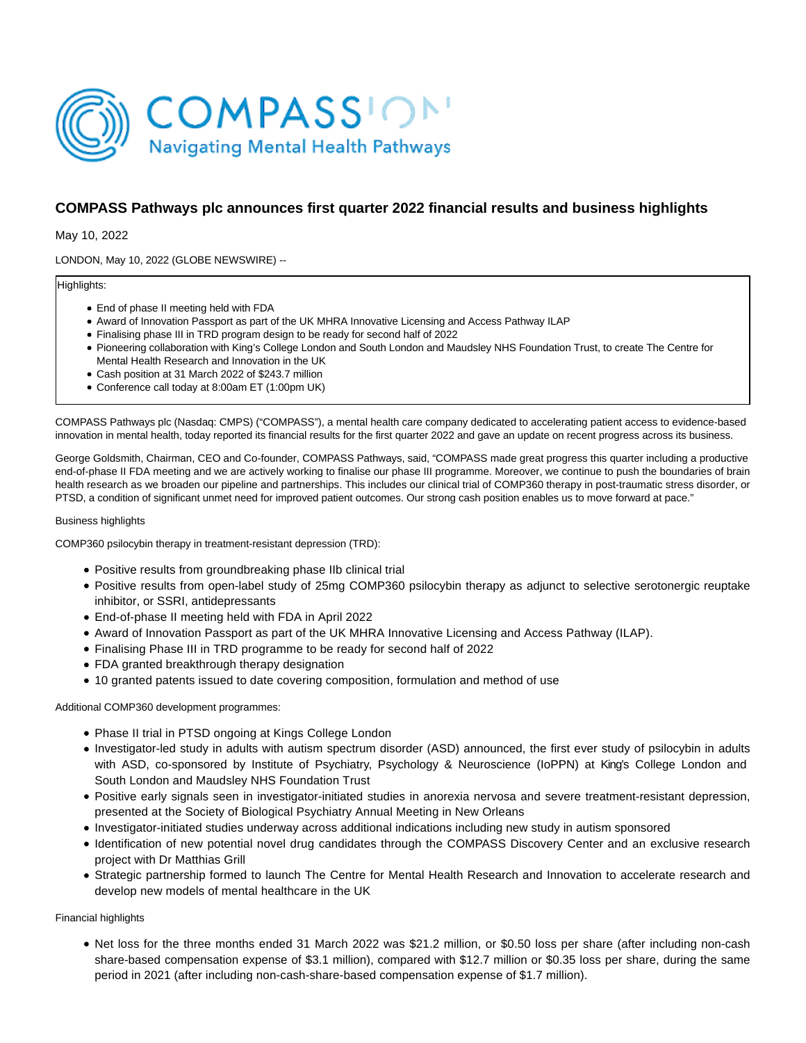

# **COMPASS Pathways plc announces first quarter 2022 financial results and business highlights**

May 10, 2022

LONDON, May 10, 2022 (GLOBE NEWSWIRE) --

### Highlights:

- End of phase II meeting held with FDA
- Award of Innovation Passport as part of the UK MHRA Innovative Licensing and Access Pathway ILAP
- Finalising phase III in TRD program design to be ready for second half of 2022
- Pioneering collaboration with King's College London and South London and Maudsley NHS Foundation Trust, to create The Centre for Mental Health Research and Innovation in the UK
- Cash position at 31 March 2022 of \$243.7 million
- Conference call today at 8:00am ET (1:00pm UK)

COMPASS Pathways plc (Nasdaq: CMPS) ("COMPASS"), a mental health care company dedicated to accelerating patient access to evidence-based innovation in mental health, today reported its financial results for the first quarter 2022 and gave an update on recent progress across its business.

George Goldsmith, Chairman, CEO and Co-founder, COMPASS Pathways, said, "COMPASS made great progress this quarter including a productive end-of-phase II FDA meeting and we are actively working to finalise our phase III programme. Moreover, we continue to push the boundaries of brain health research as we broaden our pipeline and partnerships. This includes our clinical trial of COMP360 therapy in post-traumatic stress disorder, or PTSD, a condition of significant unmet need for improved patient outcomes. Our strong cash position enables us to move forward at pace."

### Business highlights

COMP360 psilocybin therapy in treatment-resistant depression (TRD):

- Positive results from groundbreaking phase IIb clinical trial
- Positive results from open-label study of 25mg COMP360 psilocybin therapy as adjunct to selective serotonergic reuptake inhibitor, or SSRI, antidepressants
- End-of-phase II meeting held with FDA in April 2022
- Award of Innovation Passport as part of the UK MHRA Innovative Licensing and Access Pathway (ILAP).
- Finalising Phase III in TRD programme to be ready for second half of 2022
- FDA granted breakthrough therapy designation
- 10 granted patents issued to date covering composition, formulation and method of use

Additional COMP360 development programmes:

- Phase II trial in PTSD ongoing at Kings College London
- Investigator-led study in adults with autism spectrum disorder (ASD) announced, the first ever study of psilocybin in adults with ASD, co-sponsored by Institute of Psychiatry, Psychology & Neuroscience (IoPPN) at King's College London and South London and Maudsley NHS Foundation Trust
- Positive early signals seen in investigator-initiated studies in anorexia nervosa and severe treatment-resistant depression, presented at the Society of Biological Psychiatry Annual Meeting in New Orleans
- Investigator-initiated studies underway across additional indications including new study in autism sponsored
- Identification of new potential novel drug candidates through the COMPASS Discovery Center and an exclusive research project with Dr Matthias Grill
- Strategic partnership formed to launch The Centre for Mental Health Research and Innovation to accelerate research and develop new models of mental healthcare in the UK

Financial highlights

Net loss for the three months ended 31 March 2022 was \$21.2 million, or \$0.50 loss per share (after including non-cash share-based compensation expense of \$3.1 million), compared with \$12.7 million or \$0.35 loss per share, during the same period in 2021 (after including non-cash-share-based compensation expense of \$1.7 million).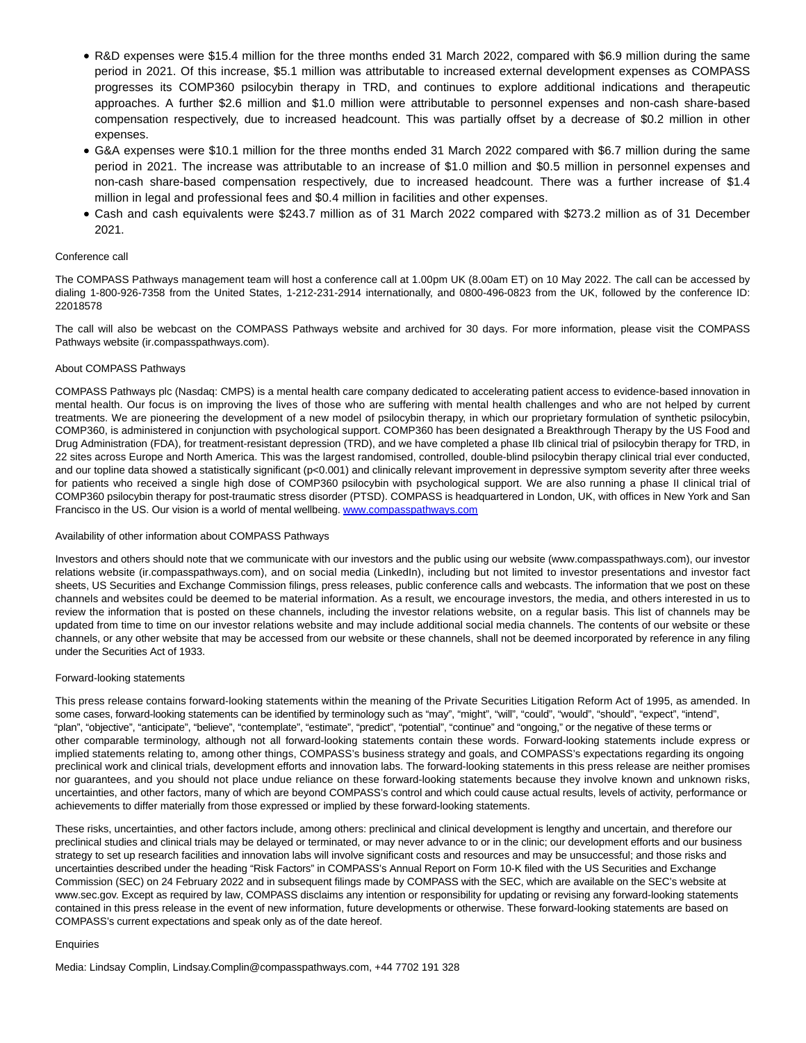- R&D expenses were \$15.4 million for the three months ended 31 March 2022, compared with \$6.9 million during the same period in 2021. Of this increase, \$5.1 million was attributable to increased external development expenses as COMPASS progresses its COMP360 psilocybin therapy in TRD, and continues to explore additional indications and therapeutic approaches. A further \$2.6 million and \$1.0 million were attributable to personnel expenses and non-cash share-based compensation respectively, due to increased headcount. This was partially offset by a decrease of \$0.2 million in other expenses.
- G&A expenses were \$10.1 million for the three months ended 31 March 2022 compared with \$6.7 million during the same period in 2021. The increase was attributable to an increase of \$1.0 million and \$0.5 million in personnel expenses and non-cash share-based compensation respectively, due to increased headcount. There was a further increase of \$1.4 million in legal and professional fees and \$0.4 million in facilities and other expenses.
- Cash and cash equivalents were \$243.7 million as of 31 March 2022 compared with \$273.2 million as of 31 December 2021.

#### Conference call

The COMPASS Pathways management team will host a conference call at 1.00pm UK (8.00am ET) on 10 May 2022. The call can be accessed by dialing 1-800-926-7358 from the United States, 1-212-231-2914 internationally, and 0800-496-0823 from the UK, followed by the conference ID: 22018578

The call will also be webcast on the COMPASS Pathways website and archived for 30 days. For more information, please visit the COMPASS Pathways website (ir.compasspathways.com).

#### About COMPASS Pathways

COMPASS Pathways plc (Nasdaq: CMPS) is a mental health care company dedicated to accelerating patient access to evidence-based innovation in mental health. Our focus is on improving the lives of those who are suffering with mental health challenges and who are not helped by current treatments. We are pioneering the development of a new model of psilocybin therapy, in which our proprietary formulation of synthetic psilocybin, COMP360, is administered in conjunction with psychological support. COMP360 has been designated a Breakthrough Therapy by the US Food and Drug Administration (FDA), for treatment-resistant depression (TRD), and we have completed a phase IIb clinical trial of psilocybin therapy for TRD, in 22 sites across Europe and North America. This was the largest randomised, controlled, double-blind psilocybin therapy clinical trial ever conducted, and our topline data showed a statistically significant (p<0.001) and clinically relevant improvement in depressive symptom severity after three weeks for patients who received a single high dose of COMP360 psilocybin with psychological support. We are also running a phase II clinical trial of COMP360 psilocybin therapy for post-traumatic stress disorder (PTSD). COMPASS is headquartered in London, UK, with offices in New York and San Francisco in the US. Our vision is a world of mental wellbeing. [www.compasspathways.com](https://www.globenewswire.com/Tracker?data=A7LkOj_iy4Zv1q62XAnw9PD9tjuI1-_FrfQaswUcium2w3XP67qZnqQ5pev33YTBO6GqabuJ9WwNwKBSyTJatNbOexgIRZIinI3NZVUEjak=)

#### Availability of other information about COMPASS Pathways

Investors and others should note that we communicate with our investors and the public using our website (www.compasspathways.com), our investor relations website (ir.compasspathways.com), and on social media (LinkedIn), including but not limited to investor presentations and investor fact sheets, US Securities and Exchange Commission filings, press releases, public conference calls and webcasts. The information that we post on these channels and websites could be deemed to be material information. As a result, we encourage investors, the media, and others interested in us to review the information that is posted on these channels, including the investor relations website, on a regular basis. This list of channels may be updated from time to time on our investor relations website and may include additional social media channels. The contents of our website or these channels, or any other website that may be accessed from our website or these channels, shall not be deemed incorporated by reference in any filing under the Securities Act of 1933.

#### Forward-looking statements

This press release contains forward-looking statements within the meaning of the Private Securities Litigation Reform Act of 1995, as amended. In some cases, forward-looking statements can be identified by terminology such as "may", "might", "will", "could", "would", "should", "expect", "intend", "plan", "objective", "anticipate", "believe", "contemplate", "estimate", "predict", "potential", "continue" and "ongoing," or the negative of these terms or other comparable terminology, although not all forward-looking statements contain these words. Forward-looking statements include express or implied statements relating to, among other things, COMPASS's business strategy and goals, and COMPASS's expectations regarding its ongoing preclinical work and clinical trials, development efforts and innovation labs. The forward-looking statements in this press release are neither promises nor guarantees, and you should not place undue reliance on these forward-looking statements because they involve known and unknown risks, uncertainties, and other factors, many of which are beyond COMPASS's control and which could cause actual results, levels of activity, performance or achievements to differ materially from those expressed or implied by these forward-looking statements.

These risks, uncertainties, and other factors include, among others: preclinical and clinical development is lengthy and uncertain, and therefore our preclinical studies and clinical trials may be delayed or terminated, or may never advance to or in the clinic; our development efforts and our business strategy to set up research facilities and innovation labs will involve significant costs and resources and may be unsuccessful; and those risks and uncertainties described under the heading "Risk Factors" in COMPASS's Annual Report on Form 10-K filed with the US Securities and Exchange Commission (SEC) on 24 February 2022 and in subsequent filings made by COMPASS with the SEC, which are available on the SEC's website at www.sec.gov. Except as required by law, COMPASS disclaims any intention or responsibility for updating or revising any forward-looking statements contained in this press release in the event of new information, future developments or otherwise. These forward-looking statements are based on COMPASS's current expectations and speak only as of the date hereof.

#### **Enquiries**

Media: Lindsay Complin, Lindsay.Complin@compasspathways.com, +44 7702 191 328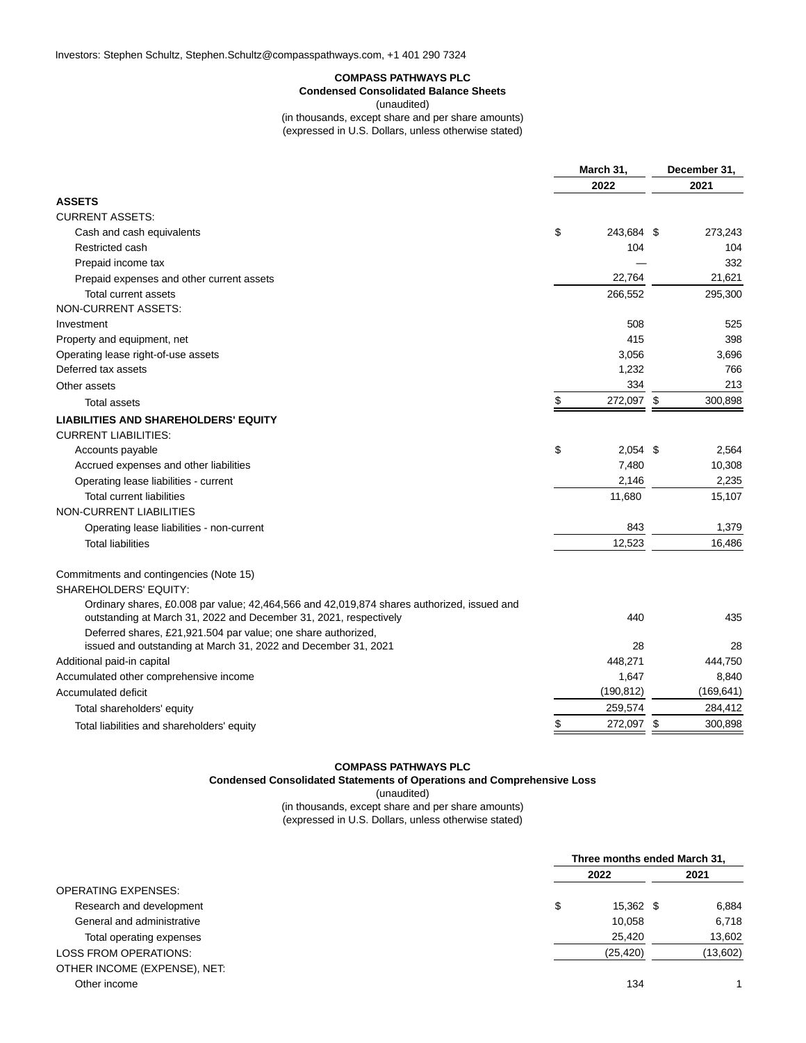## **COMPASS PATHWAYS PLC**

### **Condensed Consolidated Balance Sheets**

(unaudited)

(in thousands, except share and per share amounts) (expressed in U.S. Dollars, unless otherwise stated)

|                                                                                                                                                                 | March 31,        |    | December 31, |  |
|-----------------------------------------------------------------------------------------------------------------------------------------------------------------|------------------|----|--------------|--|
|                                                                                                                                                                 | 2022             |    | 2021         |  |
| <b>ASSETS</b>                                                                                                                                                   |                  |    |              |  |
| <b>CURRENT ASSETS:</b>                                                                                                                                          |                  |    |              |  |
| Cash and cash equivalents                                                                                                                                       | \$<br>243,684 \$ |    | 273,243      |  |
| Restricted cash                                                                                                                                                 | 104              |    | 104          |  |
| Prepaid income tax                                                                                                                                              |                  |    | 332          |  |
| Prepaid expenses and other current assets                                                                                                                       | 22,764           |    | 21,621       |  |
| Total current assets                                                                                                                                            | 266,552          |    | 295,300      |  |
| <b>NON-CURRENT ASSETS:</b>                                                                                                                                      |                  |    |              |  |
| Investment                                                                                                                                                      | 508              |    | 525          |  |
| Property and equipment, net                                                                                                                                     | 415              |    | 398          |  |
| Operating lease right-of-use assets                                                                                                                             | 3,056            |    | 3,696        |  |
| Deferred tax assets                                                                                                                                             | 1,232            |    | 766          |  |
| Other assets                                                                                                                                                    | 334              |    | 213          |  |
| <b>Total assets</b>                                                                                                                                             | \$<br>272,097 \$ |    | 300,898      |  |
| <b>LIABILITIES AND SHAREHOLDERS' EQUITY</b>                                                                                                                     |                  |    |              |  |
| <b>CURRENT LIABILITIES:</b>                                                                                                                                     |                  |    |              |  |
| Accounts payable                                                                                                                                                | \$<br>$2,054$ \$ |    | 2,564        |  |
| Accrued expenses and other liabilities                                                                                                                          | 7,480            |    | 10,308       |  |
| Operating lease liabilities - current                                                                                                                           | 2,146            |    | 2,235        |  |
| <b>Total current liabilities</b>                                                                                                                                | 11,680           |    | 15,107       |  |
| NON-CURRENT LIABILITIES                                                                                                                                         |                  |    |              |  |
| Operating lease liabilities - non-current                                                                                                                       | 843              |    | 1,379        |  |
| <b>Total liabilities</b>                                                                                                                                        | 12,523           |    | 16,486       |  |
| Commitments and contingencies (Note 15)                                                                                                                         |                  |    |              |  |
| SHAREHOLDERS' EQUITY:                                                                                                                                           |                  |    |              |  |
| Ordinary shares, £0.008 par value; 42,464,566 and 42,019,874 shares authorized, issued and<br>outstanding at March 31, 2022 and December 31, 2021, respectively | 440              |    | 435          |  |
| Deferred shares, £21,921.504 par value; one share authorized,                                                                                                   |                  |    |              |  |
| issued and outstanding at March 31, 2022 and December 31, 2021                                                                                                  | 28               |    | 28           |  |
| Additional paid-in capital                                                                                                                                      | 448,271          |    | 444,750      |  |
| Accumulated other comprehensive income                                                                                                                          | 1,647            |    | 8,840        |  |
| Accumulated deficit                                                                                                                                             | (190, 812)       |    | (169, 641)   |  |
| Total shareholders' equity                                                                                                                                      | 259,574          |    | 284,412      |  |
| Total liabilities and shareholders' equity                                                                                                                      | \$<br>272,097    | \$ | 300,898      |  |

### **COMPASS PATHWAYS PLC**

# **Condensed Consolidated Statements of Operations and Comprehensive Loss**

(unaudited)

(in thousands, except share and per share amounts) (expressed in U.S. Dollars, unless otherwise stated)

|                              |      | Three months ended March 31, |          |  |  |
|------------------------------|------|------------------------------|----------|--|--|
|                              | 2022 |                              | 2021     |  |  |
| <b>OPERATING EXPENSES:</b>   |      |                              |          |  |  |
| Research and development     | \$   | 15.362 \$                    | 6.884    |  |  |
| General and administrative   |      | 10,058                       | 6,718    |  |  |
| Total operating expenses     |      | 25,420                       | 13,602   |  |  |
| LOSS FROM OPERATIONS:        |      | (25, 420)                    | (13,602) |  |  |
| OTHER INCOME (EXPENSE), NET: |      |                              |          |  |  |
| Other income                 |      | 134                          |          |  |  |